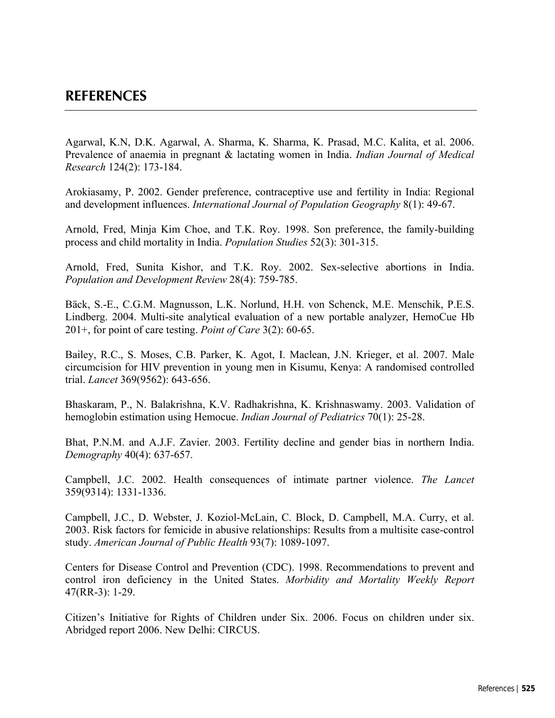Agarwal, K.N, D.K. Agarwal, A. Sharma, K. Sharma, K. Prasad, M.C. Kalita, et al. 2006. Prevalence of anaemia in pregnant & lactating women in India. *Indian Journal of Medical Research* 124(2): 173-184.

Arokiasamy, P. 2002. Gender preference, contraceptive use and fertility in India: Regional and development influences. *International Journal of Population Geography* 8(1): 49-67.

Arnold, Fred, Minja Kim Choe, and T.K. Roy. 1998. Son preference, the family-building process and child mortality in India. *Population Studies* 52(3): 301-315.

Arnold, Fred, Sunita Kishor, and T.K. Roy. 2002. Sex-selective abortions in India. *Population and Development Review* 28(4): 759-785.

Bäck, S.-E., C.G.M. Magnusson, L.K. Norlund, H.H. von Schenck, M.E. Menschik, P.E.S. Lindberg. 2004. Multi-site analytical evaluation of a new portable analyzer, HemoCue Hb 201+, for point of care testing. *Point of Care* 3(2): 60-65.

Bailey, R.C., S. Moses, C.B. Parker, K. Agot, I. Maclean, J.N. Krieger, et al. 2007. Male circumcision for HIV prevention in young men in Kisumu, Kenya: A randomised controlled trial. *Lancet* 369(9562): 643-656.

Bhaskaram, P., N. Balakrishna, K.V. Radhakrishna, K. Krishnaswamy. 2003. Validation of hemoglobin estimation using Hemocue. *Indian Journal of Pediatrics* 70(1): 25-28.

Bhat, P.N.M. and A.J.F. Zavier. 2003. Fertility decline and gender bias in northern India. *Demography* 40(4): 637-657.

Campbell, J.C. 2002. Health consequences of intimate partner violence. *The Lancet* 359(9314): 1331-1336.

Campbell, J.C., D. Webster, J. Koziol-McLain, C. Block, D. Campbell, M.A. Curry, et al. 2003. Risk factors for femicide in abusive relationships: Results from a multisite case-control study. *American Journal of Public Health* 93(7): 1089-1097.

Centers for Disease Control and Prevention (CDC). 1998. Recommendations to prevent and control iron deficiency in the United States. *Morbidity and Mortality Weekly Report* 47(RR-3): 1-29.

Citizen's Initiative for Rights of Children under Six. 2006. Focus on children under six. Abridged report 2006. New Delhi: CIRCUS.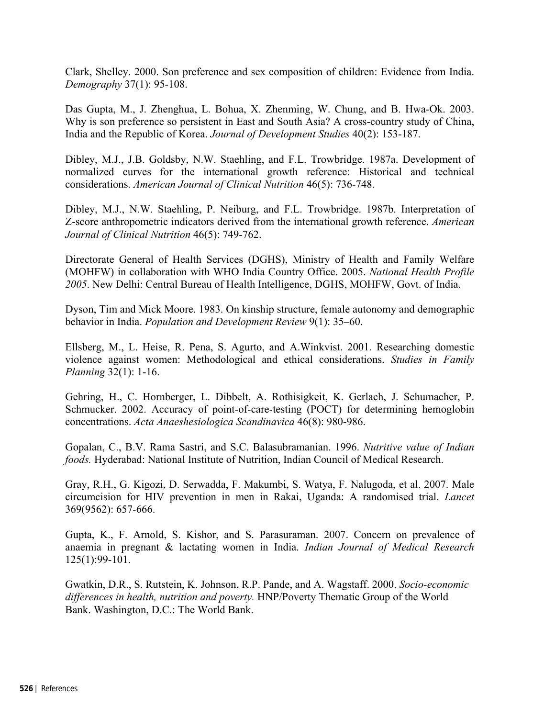Clark, Shelley. 2000. Son preference and sex composition of children: Evidence from India. *Demography* 37(1): 95-108.

Das Gupta, M., J. Zhenghua, L. Bohua, X. Zhenming, W. Chung, and B. Hwa-Ok. 2003. Why is son preference so persistent in East and South Asia? A cross-country study of China, India and the Republic of Korea. *Journal of Development Studies* 40(2): 153-187.

Dibley, M.J., J.B. Goldsby, N.W. Staehling, and F.L. Trowbridge. 1987a. Development of normalized curves for the international growth reference: Historical and technical considerations. *American Journal of Clinical Nutrition* 46(5): 736-748.

Dibley, M.J., N.W. Staehling, P. Neiburg, and F.L. Trowbridge. 1987b. Interpretation of Z-score anthropometric indicators derived from the international growth reference. *American Journal of Clinical Nutrition* 46(5): 749-762.

Directorate General of Health Services (DGHS), Ministry of Health and Family Welfare (MOHFW) in collaboration with WHO India Country Office. 2005. *National Health Profile 2005*. New Delhi: Central Bureau of Health Intelligence, DGHS, MOHFW, Govt. of India.

Dyson, Tim and Mick Moore. 1983. On kinship structure, female autonomy and demographic behavior in India. *Population and Development Review* 9(1): 35–60.

Ellsberg, M., L. Heise, R. Pena, S. Agurto, and A.Winkvist. 2001. Researching domestic violence against women: Methodological and ethical considerations. *Studies in Family Planning* 32(1): 1-16.

Gehring, H., C. Hornberger, L. Dibbelt, A. Rothisigkeit, K. Gerlach, J. Schumacher, P. Schmucker. 2002. Accuracy of point-of-care-testing (POCT) for determining hemoglobin concentrations. *Acta Anaeshesiologica Scandinavica* 46(8): 980-986.

Gopalan, C., B.V. Rama Sastri, and S.C. Balasubramanian. 1996. *Nutritive value of Indian foods.* Hyderabad: National Institute of Nutrition, Indian Council of Medical Research.

Gray, R.H., G. Kigozi, D. Serwadda, F. Makumbi, S. Watya, F. Nalugoda, et al. 2007. Male circumcision for HIV prevention in men in Rakai, Uganda: A randomised trial. *Lancet* 369(9562): 657-666.

Gupta, K., F. Arnold, S. Kishor, and S. Parasuraman. 2007. Concern on prevalence of anaemia in pregnant & lactating women in India. *Indian Journal of Medical Research* 125(1):99-101.

Gwatkin, D.R., S. Rutstein, K. Johnson, R.P. Pande, and A. Wagstaff. 2000. *Socio-economic differences in health, nutrition and poverty.* HNP/Poverty Thematic Group of the World Bank. Washington, D.C.: The World Bank.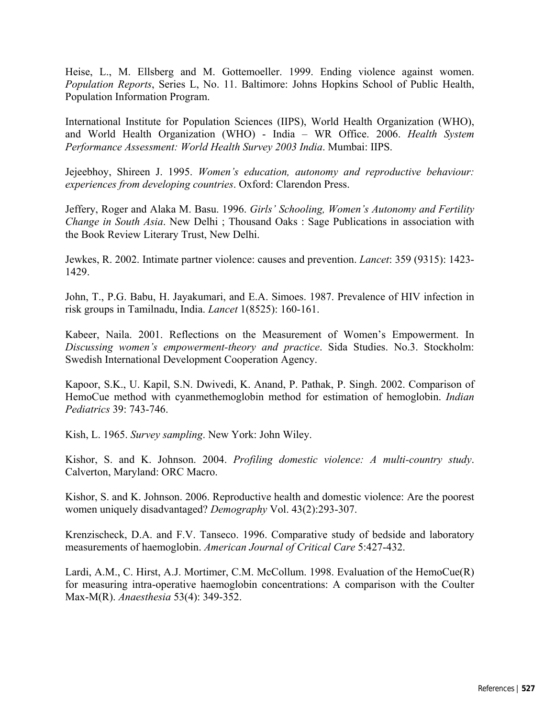Heise, L., M. Ellsberg and M. Gottemoeller. 1999. Ending violence against women. *Population Reports*, Series L, No. 11. Baltimore: Johns Hopkins School of Public Health, Population Information Program.

International Institute for Population Sciences (IIPS), World Health Organization (WHO), and World Health Organization (WHO) - India – WR Office. 2006. *Health System Performance Assessment: World Health Survey 2003 India*. Mumbai: IIPS.

Jejeebhoy, Shireen J. 1995. *Women's education, autonomy and reproductive behaviour: experiences from developing countries*. Oxford: Clarendon Press.

Jeffery, Roger and Alaka M. Basu. 1996. *Girls' Schooling, Women's Autonomy and Fertility Change in South Asia*. New Delhi ; Thousand Oaks : Sage Publications in association with the Book Review Literary Trust, New Delhi.

Jewkes, R. 2002. Intimate partner violence: causes and prevention. *Lancet*: 359 (9315): 1423- 1429.

John, T., P.G. Babu, H. Jayakumari, and E.A. Simoes. 1987. Prevalence of HIV infection in risk groups in Tamilnadu, India. *Lancet* 1(8525): 160-161.

Kabeer, Naila. 2001. Reflections on the Measurement of Women's Empowerment. In *Discussing women's empowerment-theory and practice*. Sida Studies. No.3. Stockholm: Swedish International Development Cooperation Agency.

Kapoor, S.K., U. Kapil, S.N. Dwivedi, K. Anand, P. Pathak, P. Singh. 2002. Comparison of HemoCue method with cyanmethemoglobin method for estimation of hemoglobin. *Indian Pediatrics* 39: 743-746.

Kish, L. 1965. *Survey sampling*. New York: John Wiley.

Kishor, S. and K. Johnson. 2004. *Profiling domestic violence: A multi-country study*. Calverton, Maryland: ORC Macro.

Kishor, S. and K. Johnson. 2006. Reproductive health and domestic violence: Are the poorest women uniquely disadvantaged? *Demography* Vol. 43(2):293-307.

Krenzischeck, D.A. and F.V. Tanseco. 1996. Comparative study of bedside and laboratory measurements of haemoglobin. *American Journal of Critical Care* 5:427-432.

Lardi, A.M., C. Hirst, A.J. Mortimer, C.M. McCollum. 1998. Evaluation of the HemoCue(R) for measuring intra-operative haemoglobin concentrations: A comparison with the Coulter Max-M(R). *Anaesthesia* 53(4): 349-352.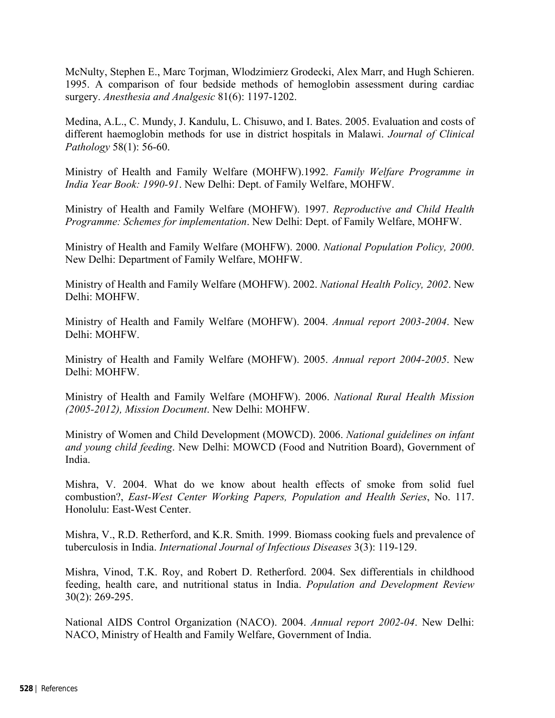McNulty, Stephen E., Marc Torjman, Wlodzimierz Grodecki, Alex Marr, and Hugh Schieren. 1995. A comparison of four bedside methods of hemoglobin assessment during cardiac surgery. *Anesthesia and Analgesic* 81(6): 1197-1202.

Medina, A.L., C. Mundy, J. Kandulu, L. Chisuwo, and I. Bates. 2005. Evaluation and costs of different haemoglobin methods for use in district hospitals in Malawi. *Journal of Clinical Pathology* 58(1): 56-60.

Ministry of Health and Family Welfare (MOHFW).1992. *Family Welfare Programme in India Year Book: 1990-91*. New Delhi: Dept. of Family Welfare, MOHFW.

Ministry of Health and Family Welfare (MOHFW). 1997. *Reproductive and Child Health Programme: Schemes for implementation*. New Delhi: Dept. of Family Welfare, MOHFW.

Ministry of Health and Family Welfare (MOHFW). 2000. *National Population Policy, 2000*. New Delhi: Department of Family Welfare, MOHFW.

Ministry of Health and Family Welfare (MOHFW). 2002. *National Health Policy, 2002*. New Delhi: MOHFW.

Ministry of Health and Family Welfare (MOHFW). 2004. *Annual report 2003-2004*. New Delhi: MOHFW.

Ministry of Health and Family Welfare (MOHFW). 2005. *Annual report 2004-2005*. New Delhi: MOHFW.

Ministry of Health and Family Welfare (MOHFW). 2006. *National Rural Health Mission (2005-2012), Mission Document*. New Delhi: MOHFW.

Ministry of Women and Child Development (MOWCD). 2006. *National guidelines on infant and young child feeding*. New Delhi: MOWCD (Food and Nutrition Board), Government of India.

Mishra, V. 2004. What do we know about health effects of smoke from solid fuel combustion?, *East-West Center Working Papers, Population and Health Series*, No. 117. Honolulu: East-West Center.

Mishra, V., R.D. Retherford, and K.R. Smith. 1999. Biomass cooking fuels and prevalence of tuberculosis in India. *International Journal of Infectious Diseases* 3(3): 119-129.

Mishra, Vinod, T.K. Roy, and Robert D. Retherford. 2004. Sex differentials in childhood feeding, health care, and nutritional status in India. *Population and Development Review* 30(2): 269-295.

National AIDS Control Organization (NACO). 2004. *Annual report 2002-04*. New Delhi: NACO, Ministry of Health and Family Welfare, Government of India.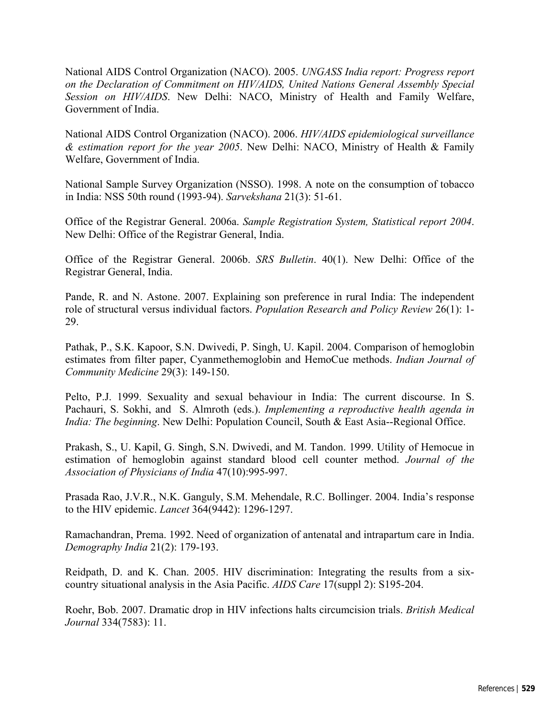National AIDS Control Organization (NACO). 2005. *UNGASS India report: Progress report on the Declaration of Commitment on HIV/AIDS, United Nations General Assembly Special Session on HIV/AIDS*. New Delhi: NACO, Ministry of Health and Family Welfare, Government of India.

National AIDS Control Organization (NACO). 2006. *HIV/AIDS epidemiological surveillance & estimation report for the year 2005*. New Delhi: NACO, Ministry of Health & Family Welfare, Government of India.

National Sample Survey Organization (NSSO). 1998. A note on the consumption of tobacco in India: NSS 50th round (1993-94). *Sarvekshana* 21(3): 51-61.

Office of the Registrar General. 2006a. *Sample Registration System, Statistical report 2004*. New Delhi: Office of the Registrar General, India.

Office of the Registrar General. 2006b. *SRS Bulletin*. 40(1). New Delhi: Office of the Registrar General, India.

Pande, R. and N. Astone. 2007. Explaining son preference in rural India: The independent role of structural versus individual factors. *Population Research and Policy Review* 26(1): 1- 29.

Pathak, P., S.K. Kapoor, S.N. Dwivedi, P. Singh, U. Kapil. 2004. Comparison of hemoglobin estimates from filter paper, Cyanmethemoglobin and HemoCue methods. *Indian Journal of Community Medicine* 29(3): 149-150.

Pelto, P.J. 1999. Sexuality and sexual behaviour in India: The current discourse. In S. Pachauri, S. Sokhi, and S. Almroth (eds.). *Implementing a reproductive health agenda in India: The beginning.* New Delhi: Population Council, South & East Asia--Regional Office.

Prakash, S., U. Kapil, G. Singh, S.N. Dwivedi, and M. Tandon. 1999. Utility of Hemocue in estimation of hemoglobin against standard blood cell counter method. *Journal of the Association of Physicians of India* 47(10):995-997.

Prasada Rao, J.V.R., N.K. Ganguly, S.M. Mehendale, R.C. Bollinger. 2004. India's response to the HIV epidemic. *Lancet* 364(9442): 1296-1297.

Ramachandran, Prema. 1992. Need of organization of antenatal and intrapartum care in India. *Demography India* 21(2): 179-193.

Reidpath, D. and K. Chan. 2005. HIV discrimination: Integrating the results from a sixcountry situational analysis in the Asia Pacific. *AIDS Care* 17(suppl 2): S195-204.

Roehr, Bob. 2007. Dramatic drop in HIV infections halts circumcision trials. *British Medical Journal* 334(7583): 11.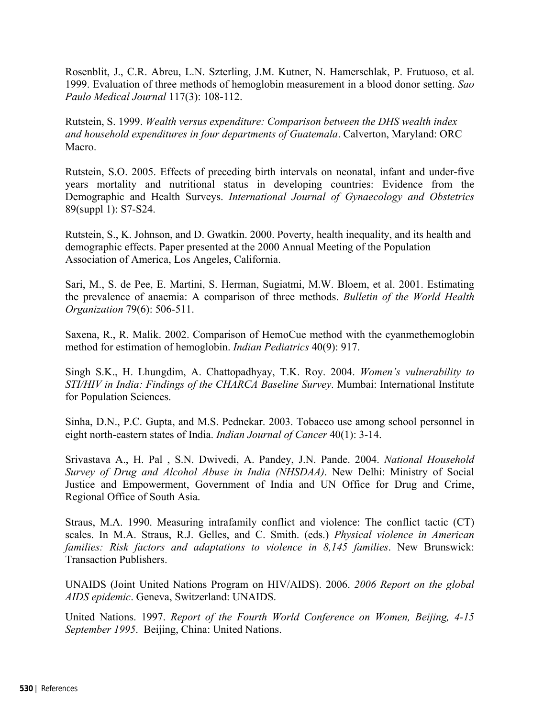Rosenblit, J., C.R. Abreu, L.N. Szterling, J.M. Kutner, N. Hamerschlak, P. Frutuoso, et al. 1999. Evaluation of three methods of hemoglobin measurement in a blood donor setting. *Sao Paulo Medical Journal* 117(3): 108-112.

Rutstein, S. 1999. *Wealth versus expenditure: Comparison between the DHS wealth index and household expenditures in four departments of Guatemala*. Calverton, Maryland: ORC Macro.

Rutstein, S.O. 2005. Effects of preceding birth intervals on neonatal, infant and under-five years mortality and nutritional status in developing countries: Evidence from the Demographic and Health Surveys. *International Journal of Gynaecology and Obstetrics* 89(suppl 1): S7-S24.

Rutstein, S., K. Johnson, and D. Gwatkin. 2000. Poverty, health inequality, and its health and demographic effects. Paper presented at the 2000 Annual Meeting of the Population Association of America, Los Angeles, California.

Sari, M., S. de Pee, E. Martini, S. Herman, Sugiatmi, M.W. Bloem, et al. 2001. Estimating the prevalence of anaemia: A comparison of three methods. *Bulletin of the World Health Organization* 79(6): 506-511.

Saxena, R., R. Malik. 2002. Comparison of HemoCue method with the cyanmethemoglobin method for estimation of hemoglobin. *Indian Pediatrics* 40(9): 917.

Singh S.K., H. Lhungdim, A. Chattopadhyay, T.K. Roy. 2004. *Women's vulnerability to STI/HIV in India: Findings of the CHARCA Baseline Survey*. Mumbai: International Institute for Population Sciences.

Sinha, D.N., P.C. Gupta, and M.S. Pednekar. 2003. Tobacco use among school personnel in eight north-eastern states of India. *Indian Journal of Cancer* 40(1): 3-14.

Srivastava A., H. Pal , S.N. Dwivedi, A. Pandey, J.N. Pande. 2004. *National Household Survey of Drug and Alcohol Abuse in India (NHSDAA)*. New Delhi: Ministry of Social Justice and Empowerment, Government of India and UN Office for Drug and Crime, Regional Office of South Asia.

Straus, M.A. 1990. Measuring intrafamily conflict and violence: The conflict tactic (CT) scales. In M.A. Straus, R.J. Gelles, and C. Smith. (eds.) *Physical violence in American families: Risk factors and adaptations to violence in 8,145 families*. New Brunswick: Transaction Publishers.

UNAIDS (Joint United Nations Program on HIV/AIDS). 2006. *2006 Report on the global AIDS epidemic*. Geneva, Switzerland: UNAIDS.

United Nations. 1997. *Report of the Fourth World Conference on Women, Beijing, 4-15 September 1995*. Beijing, China: United Nations.